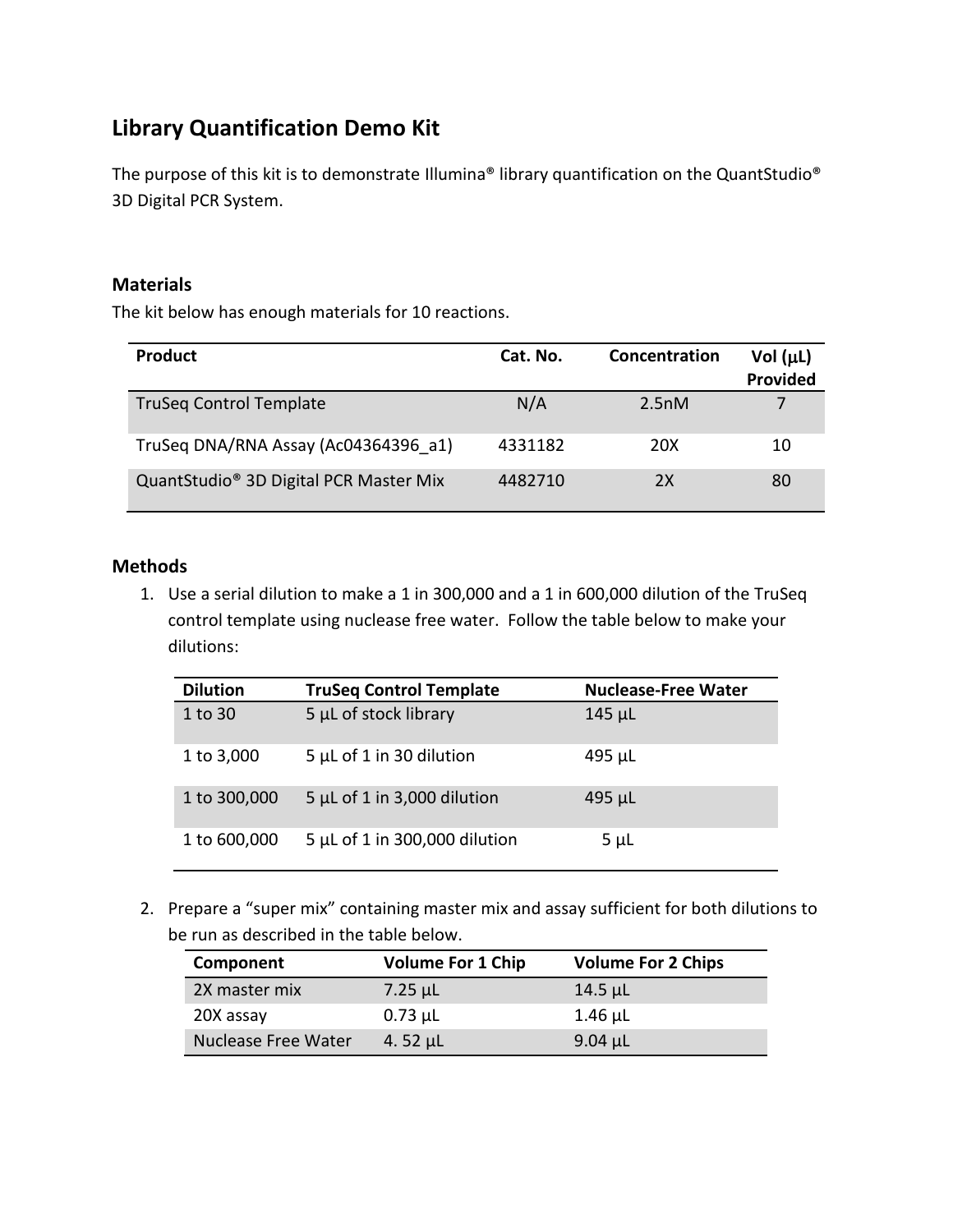## **Library Quantification Demo Kit**

The purpose of this kit is to demonstrate Illumina® library quantification on the QuantStudio® 3D Digital PCR System.

## **Materials**

The kit below has enough materials for 10 reactions.

| <b>Product</b>                                     | Cat. No. | Concentration | Vol $(\mu L)$<br>Provided |
|----------------------------------------------------|----------|---------------|---------------------------|
| <b>TruSeg Control Template</b>                     | N/A      | 2.5nM         |                           |
| TruSeg DNA/RNA Assay (Ac04364396 a1)               | 4331182  | 20X           | 10                        |
| QuantStudio <sup>®</sup> 3D Digital PCR Master Mix | 4482710  | 2X            | 80                        |

## **Methods**

1. Use a serial dilution to make a 1 in 300,000 and a 1 in 600,000 dilution of the TruSeq control template using nuclease free water. Follow the table below to make your dilutions:

| <b>Dilution</b> | <b>TruSeq Control Template</b> | <b>Nuclease-Free Water</b> |
|-----------------|--------------------------------|----------------------------|
| 1 to 30         | 5 µL of stock library          | $145 \mu L$                |
| 1 to 3,000      | $5 \mu L$ of 1 in 30 dilution  | 495 µL                     |
| 1 to 300,000    | 5 µL of 1 in 3,000 dilution    | $495 \mu L$                |
| 1 to 600,000    | 5 µL of 1 in 300,000 dilution  | $5 \mu L$                  |

2. Prepare a "super mix" containing master mix and assay sufficient for both dilutions to be run as described in the table below.

| Component                  | <b>Volume For 1 Chip</b> | <b>Volume For 2 Chips</b> |
|----------------------------|--------------------------|---------------------------|
| 2X master mix              | $7.25 \mu L$             | $14.5 \mu L$              |
| 20X assay                  | $0.73$ µL                | $1.46$ µL                 |
| <b>Nuclease Free Water</b> | 4.52 $\mu$ L             | $9.04$ µL                 |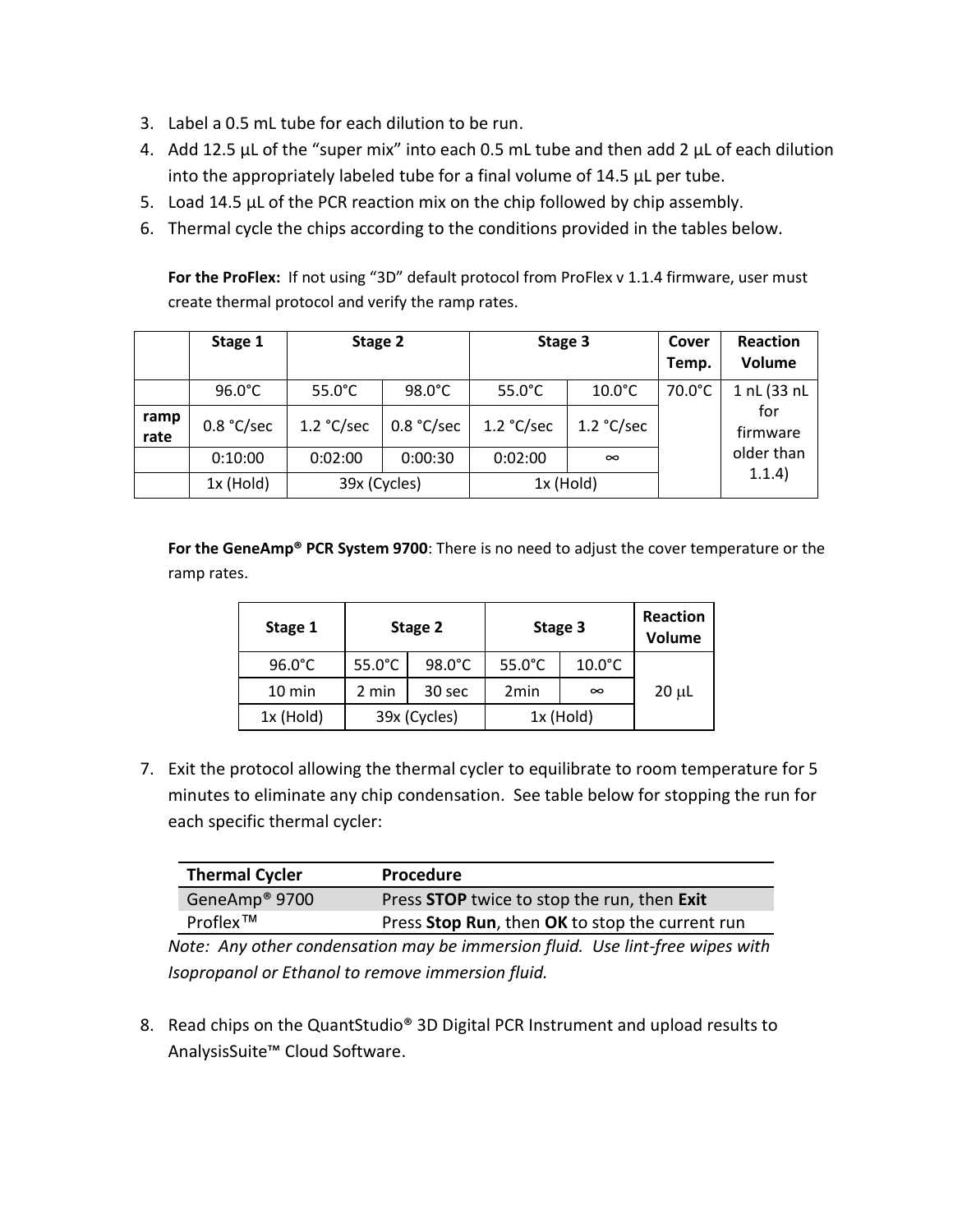- 3. Label a 0.5 mL tube for each dilution to be run.
- 4. Add 12.5  $\mu$ L of the "super mix" into each 0.5 mL tube and then add 2  $\mu$ L of each dilution into the appropriately labeled tube for a final volume of 14.5 µL per tube.
- 5. Load 14.5 µL of the PCR reaction mix on the chip followed by chip assembly.
- 6. Thermal cycle the chips according to the conditions provided in the tables below.

For the ProFlex: If not using "3D" default protocol from ProFlex v 1.1.4 firmware, user must create thermal protocol and verify the ramp rates.

|              | Stage 1          |                  | Stage 2          |                  | Stage 3          |        | Reaction<br>Volume |
|--------------|------------------|------------------|------------------|------------------|------------------|--------|--------------------|
|              | $96.0^{\circ}$ C | $55.0^{\circ}$ C | $98.0^{\circ}$ C | $55.0^{\circ}$ C | $10.0^{\circ}$ C | 70.0°C | 1 nL (33 nL        |
| ramp<br>rate | 0.8 °C/sec       | 1.2 °C/sec       | 0.8 °C/sec       | 1.2 °C/sec       | 1.2 °C/sec       |        | for<br>firmware    |
|              | 0:10:00          | 0:02:00          | 0:00:30          | 0:02:00          | $\infty$         |        | older than         |
|              | $1x$ (Hold)      | 39x (Cycles)     |                  | $1x$ (Hold)      |                  |        | 1.1.4)             |

**For the GeneAmp® PCR System 9700**: There is no need to adjust the cover temperature or the ramp rates.

| Stage 1          | Stage 2          |              | Stage 3          |                  | <b>Reaction</b><br><b>Volume</b> |  |
|------------------|------------------|--------------|------------------|------------------|----------------------------------|--|
| $96.0^{\circ}$ C | $55.0^{\circ}$ C | 98.0°C       | $55.0^{\circ}$ C | $10.0^{\circ}$ C |                                  |  |
| $10 \text{ min}$ | 2 min            | 30 sec       | 2 <sub>min</sub> | $\infty$         | $20 \mu L$                       |  |
| $1x$ (Hold)      |                  | 39x (Cycles) | $1x$ (Hold)      |                  |                                  |  |

7. Exit the protocol allowing the thermal cycler to equilibrate to room temperature for 5 minutes to eliminate any chip condensation. See table below for stopping the run for each specific thermal cycler:

| <b>Thermal Cycler</b>     | <b>Procedure</b>                                |
|---------------------------|-------------------------------------------------|
| GeneAmp <sup>®</sup> 9700 | Press STOP twice to stop the run, then Exit     |
| $Proflex^{\text{TM}}$     | Press Stop Run, then OK to stop the current run |

*Note: Any other condensation may be immersion fluid. Use lint-free wipes with Isopropanol or Ethanol to remove immersion fluid.*

8. Read chips on the QuantStudio® 3D Digital PCR Instrument and upload results to AnalysisSuite™ Cloud Software.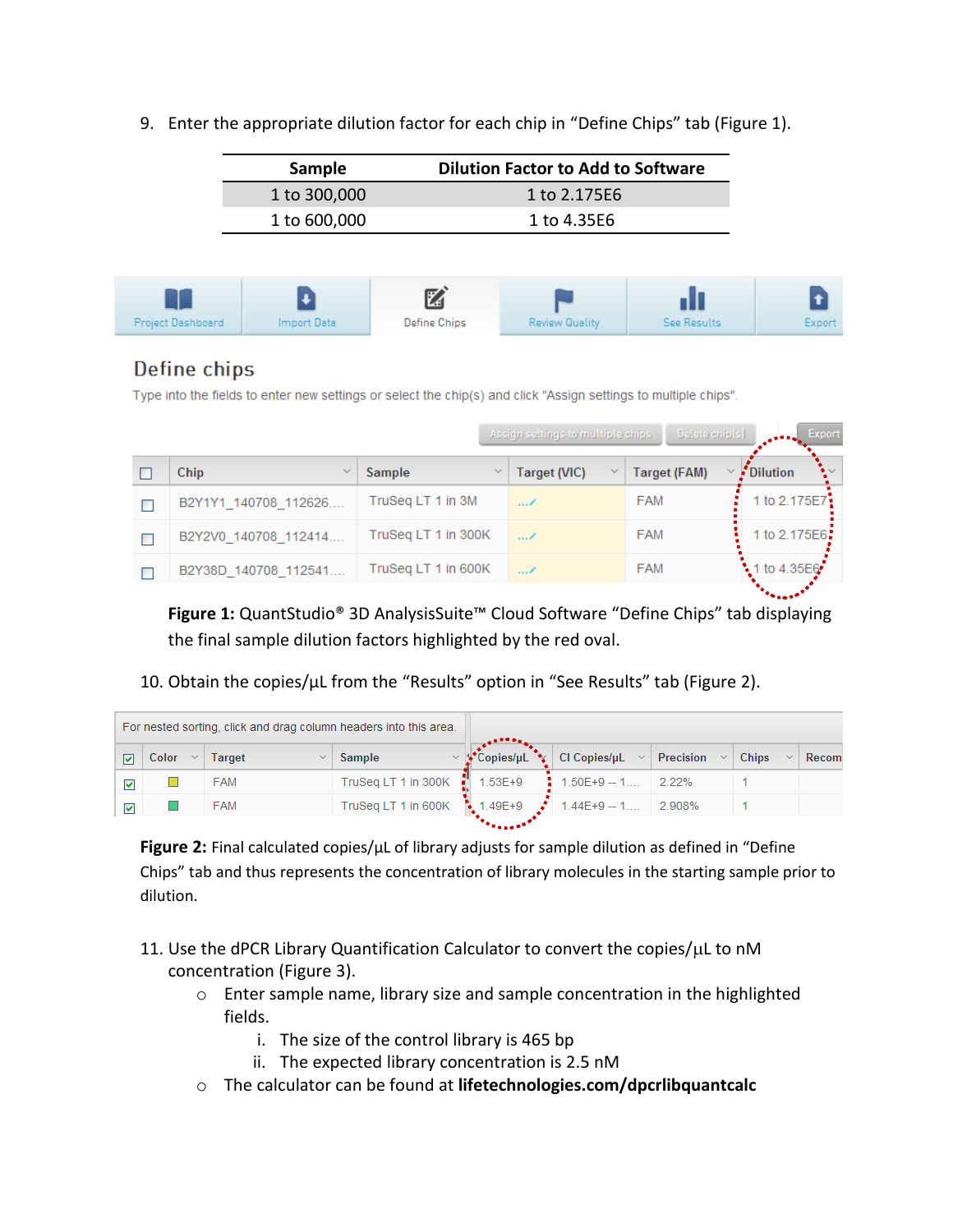9. Enter the appropriate dilution factor for each chip in "Define Chips" tab (Figure 1).

| Sample       | <b>Dilution Factor to Add to Software</b> |  |  |
|--------------|-------------------------------------------|--|--|
| 1 to 300,000 | 1 to 2.175E6                              |  |  |
| 1 to 600,000 | 1 to 4.35E6                               |  |  |



## Define chips

Type into the fields to enter new settings or select the chip(s) and click "Assign settings to multiple chips".

|                       |                     | Assign settings to multiple chips. | Delete chip(s)      | <b>Export</b><br>医单元性血压 |
|-----------------------|---------------------|------------------------------------|---------------------|-------------------------|
| Chip                  | Sample<br>$\sim$    | Target (VIC)<br>$\mathcal{A}$      | <b>Target (FAM)</b> | Dilution                |
| B2Y1Y1 140708 112626. | TruSeg LT 1 in 3M   | /                                  | <b>FAM</b>          | 1 to 2.175E7            |
| B2Y2V0 140708 112414  | TruSeg LT 1 in 300K | $\ldots$                           | <b>FAM</b>          | 1 to 2.175E6:           |
| B2Y38D 140708 112541  | TruSeg LT 1 in 600K | $\ldots$                           | <b>FAM</b>          | 1 to 4.35E6             |

**Figure 1:** QuantStudio® 3D AnalysisSuite™ Cloud Software "Define Chips" tab displaying the final sample dilution factors highlighted by the red oval.

10. Obtain the copies/µL from the "Results" option in "See Results" tab (Figure 2).

|       | For nested sorting, click and drag column headers into this area. |                     |                   |                                   |        |              |       |
|-------|-------------------------------------------------------------------|---------------------|-------------------|-----------------------------------|--------|--------------|-------|
| Color | Target<br>$\sim$                                                  | Sample              | Copies/uL         | CI Copies/ $\mu L \sim$ Precision | $\sim$ | <b>Chips</b> | Recom |
|       | <b>FAM</b>                                                        | TruSeq LT 1 in 300K | а.<br>$1.53E + 9$ | $1.50E+9 - 1$                     | 2.22%  |              |       |
|       | <b>FAM</b>                                                        | TruSeq LT 1 in 600K | $1.49E+9$         | $1.44E+9-1$                       | 2.908% |              |       |
|       |                                                                   |                     |                   |                                   |        |              |       |

**Figure 2:** Final calculated copies/µL of library adjusts for sample dilution as defined in "Define Chips" tab and thus represents the concentration of library molecules in the starting sample prior to dilution.

- 11. Use the dPCR Library Quantification Calculator to convert the copies/ $\mu$ L to nM concentration (Figure 3).
	- o Enter sample name, library size and sample concentration in the highlighted fields.
		- i. The size of the control library is 465 bp
		- ii. The expected library concentration is 2.5 nM
	- o The calculator can be found at **lifetechnologies.com/dpcrlibquantcalc**